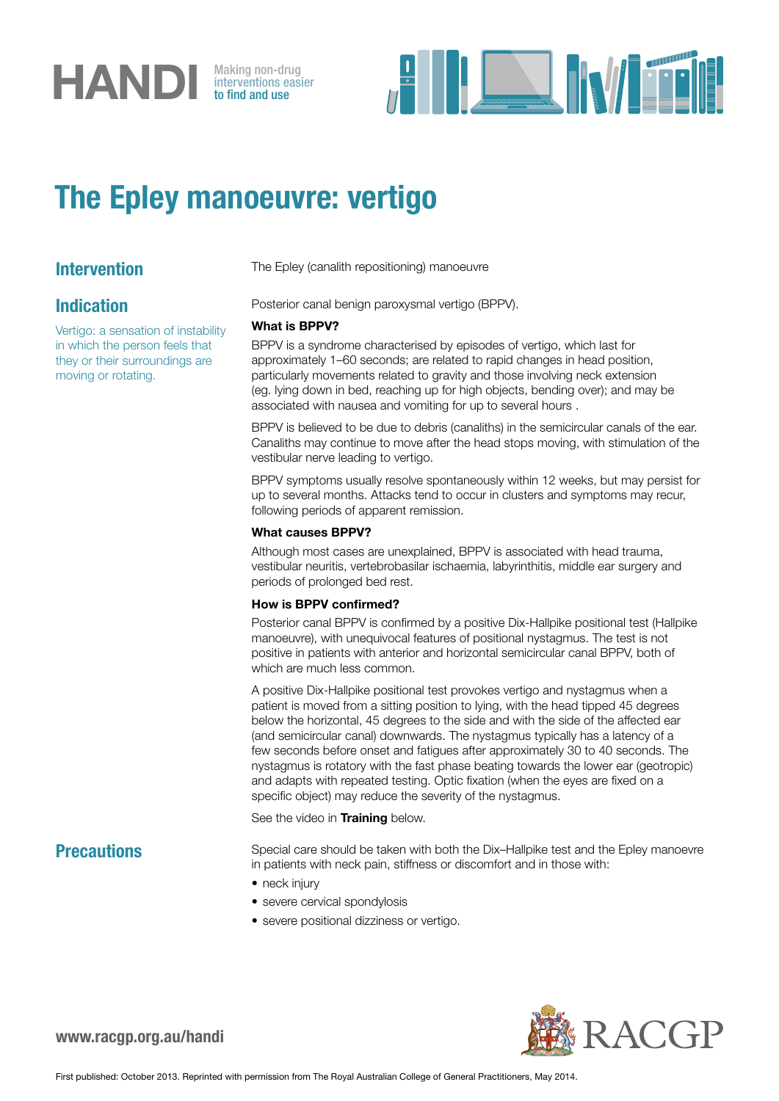

interventions easier to find and use



## The Epley manoeuvre: vertigo

### Indication

Vertigo: a sensation of instability in which the person feels that they or their surroundings are moving or rotating.

**Intervention** The Epley (canalith repositioning) manoeuvre

Posterior canal benign paroxysmal vertigo (BPPV).

#### What is BPPV?

BPPV is a syndrome characterised by episodes of vertigo, which last for approximately 1–60 seconds; are related to rapid changes in head position, particularly movements related to gravity and those involving neck extension (eg. lying down in bed, reaching up for high objects, bending over); and may be associated with nausea and vomiting for up to several hours .

BPPV is believed to be due to debris (canaliths) in the semicircular canals of the ear. Canaliths may continue to move after the head stops moving, with stimulation of the vestibular nerve leading to vertigo.

BPPV symptoms usually resolve spontaneously within 12 weeks, but may persist for up to several months. Attacks tend to occur in clusters and symptoms may recur, following periods of apparent remission.

#### What causes BPPV?

Although most cases are unexplained, BPPV is associated with head trauma, vestibular neuritis, vertebrobasilar ischaemia, labyrinthitis, middle ear surgery and periods of prolonged bed rest.

#### How is BPPV confirmed?

Posterior canal BPPV is confirmed by a positive Dix-Hallpike positional test (Hallpike manoeuvre), with unequivocal features of positional nystagmus. The test is not positive in patients with anterior and horizontal semicircular canal BPPV, both of which are much less common.

A positive Dix-Hallpike positional test provokes vertigo and nystagmus when a patient is moved from a sitting position to lying, with the head tipped 45 degrees below the horizontal, 45 degrees to the side and with the side of the affected ear (and semicircular canal) downwards. The nystagmus typically has a latency of a few seconds before onset and fatigues after approximately 30 to 40 seconds. The nystagmus is rotatory with the fast phase beating towards the lower ear (geotropic) and adapts with repeated testing. Optic fixation (when the eyes are fixed on a specific object) may reduce the severity of the nystagmus.

See the video in [Training](http://www.youtube.com/watch?v=7ZgUx9G0uEs) below.

**Precautions** Special care should be taken with both the Dix–Hallpike test and the Epley manoevre in patients with neck pain, stiffness or discomfort and in those with:

- neck injury
- severe cervical spondylosis
- severe positional dizziness or vertigo.



www.racgp.org.au/handi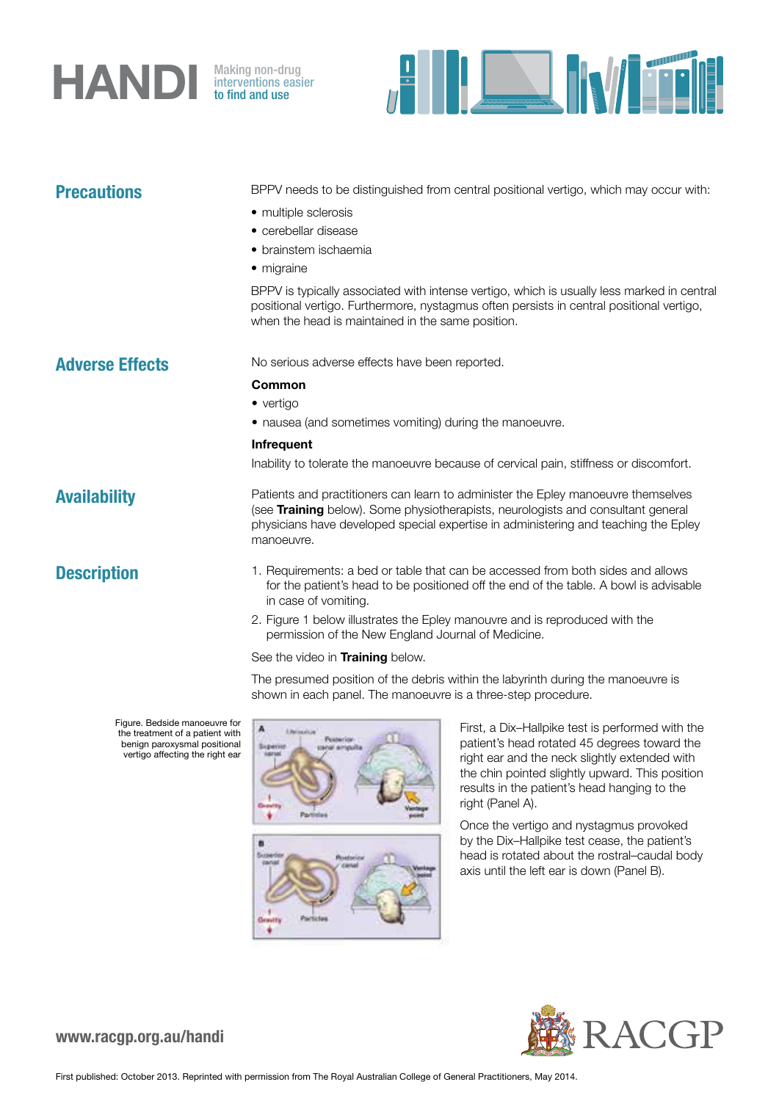## **HANDI** Making non-drug<br>to find and use

interventions easier to find and use



| <b>Precautions</b>                                                                                                                  | BPPV needs to be distinguished from central positional vertigo, which may occur with:<br>• multiple sclerosis<br>• cerebellar disease<br>• brainstem ischaemia<br>• migraine<br>BPPV is typically associated with intense vertigo, which is usually less marked in central |
|-------------------------------------------------------------------------------------------------------------------------------------|----------------------------------------------------------------------------------------------------------------------------------------------------------------------------------------------------------------------------------------------------------------------------|
|                                                                                                                                     | positional vertigo. Furthermore, nystagmus often persists in central positional vertigo,<br>when the head is maintained in the same position.                                                                                                                              |
| <b>Adverse Effects</b>                                                                                                              | No serious adverse effects have been reported.                                                                                                                                                                                                                             |
|                                                                                                                                     | Common                                                                                                                                                                                                                                                                     |
|                                                                                                                                     | • vertigo                                                                                                                                                                                                                                                                  |
|                                                                                                                                     | • nausea (and sometimes vomiting) during the manoeuvre.                                                                                                                                                                                                                    |
|                                                                                                                                     | Infrequent                                                                                                                                                                                                                                                                 |
|                                                                                                                                     | Inability to tolerate the manoeuvre because of cervical pain, stiffness or discomfort.                                                                                                                                                                                     |
| <b>Availability</b>                                                                                                                 | Patients and practitioners can learn to administer the Epley manoeuvre themselves<br>(see Training below). Some physiotherapists, neurologists and consultant general<br>physicians have developed special expertise in administering and teaching the Epley<br>manoeuvre. |
| <b>Description</b>                                                                                                                  | 1. Requirements: a bed or table that can be accessed from both sides and allows<br>for the patient's head to be positioned off the end of the table. A bowl is advisable<br>in case of vomiting.                                                                           |
|                                                                                                                                     | 2. Figure 1 below illustrates the Epley manouvre and is reproduced with the<br>permission of the New England Journal of Medicine.                                                                                                                                          |
|                                                                                                                                     | See the video in <b>Training</b> below.                                                                                                                                                                                                                                    |
|                                                                                                                                     | The presumed position of the debris within the labyrinth during the manoeuvre is<br>shown in each panel. The manoeuvre is a three-step procedure.                                                                                                                          |
| Figure. Bedside manoeuvre for<br>the treatment of a patient with<br>benign paroxysmal positional<br>vertigo affecting the right ear | First, a Dix-Hallpike test is performed with the<br>A<br>Literature<br>Posterion.<br>patient's head rotated 45 degrees toward the<br>Superior<br><b>MODIFIED</b><br>right ear and the neck slightly extended with<br>the chin nointed slightly unward. This nosition       |

the chin pointed slightly upward. This position results in the patient's head hanging to the right (Panel A). Once the vertigo and nystagmus provoked

by the Dix–Hallpike test cease, the patient's head is rotated about the rostral–caudal body axis until the left ear is down (Panel B).



www.racgp.org.au/handi